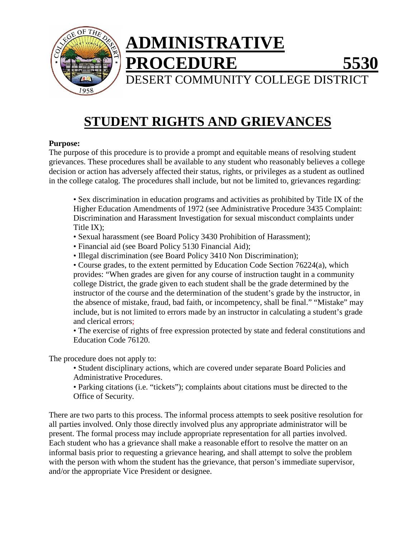

# **STUDENT RIGHTS AND GRIEVANCES**

## **Purpose:**

The purpose of this procedure is to provide a prompt and equitable means of resolving student grievances. These procedures shall be available to any student who reasonably believes a college decision or action has adversely affected their status, rights, or privileges as a student as outlined in the college catalog. The procedures shall include, but not be limited to, grievances regarding:

• Sex discrimination in education programs and activities as prohibited by Title IX of the Higher Education Amendments of 1972 (see Administrative Procedure 3435 Complaint: Discrimination and Harassment Investigation for sexual misconduct complaints under Title IX);

• Sexual harassment (see Board Policy 3430 Prohibition of Harassment);

- Financial aid (see Board Policy 5130 Financial Aid);
- Illegal discrimination (see Board Policy 3410 Non Discrimination);

• Course grades, to the extent permitted by Education Code Section 76224(a), which provides: "When grades are given for any course of instruction taught in a community college District, the grade given to each student shall be the grade determined by the instructor of the course and the determination of the student's grade by the instructor, in the absence of mistake, fraud, bad faith, or incompetency, shall be final." "Mistake" may include, but is not limited to errors made by an instructor in calculating a student's grade and clerical errors;

• The exercise of rights of free expression protected by state and federal constitutions and Education Code 76120.

The procedure does not apply to:

• Student disciplinary actions, which are covered under separate Board Policies and Administrative Procedures.

• Parking citations (i.e. "tickets"); complaints about citations must be directed to the Office of Security.

There are two parts to this process. The informal process attempts to seek positive resolution for all parties involved. Only those directly involved plus any appropriate administrator will be present. The formal process may include appropriate representation for all parties involved. Each student who has a grievance shall make a reasonable effort to resolve the matter on an informal basis prior to requesting a grievance hearing, and shall attempt to solve the problem with the person with whom the student has the grievance, that person's immediate supervisor, and/or the appropriate Vice President or designee.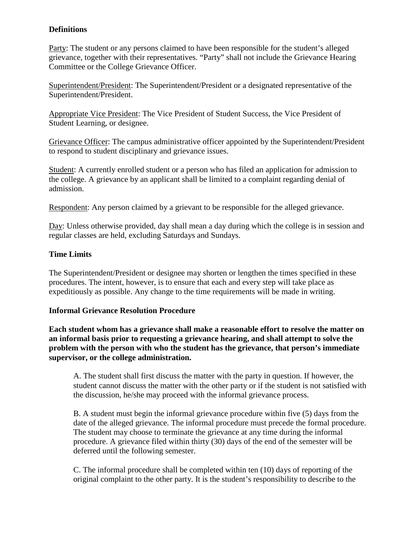# **Definitions**

Party: The student or any persons claimed to have been responsible for the student's alleged grievance, together with their representatives. "Party" shall not include the Grievance Hearing Committee or the College Grievance Officer.

Superintendent/President: The Superintendent/President or a designated representative of the Superintendent/President.

Appropriate Vice President: The Vice President of Student Success, the Vice President of Student Learning, or designee.

Grievance Officer: The campus administrative officer appointed by the Superintendent/President to respond to student disciplinary and grievance issues.

Student: A currently enrolled student or a person who has filed an application for admission to the college. A grievance by an applicant shall be limited to a complaint regarding denial of admission.

Respondent: Any person claimed by a grievant to be responsible for the alleged grievance.

Day: Unless otherwise provided, day shall mean a day during which the college is in session and regular classes are held, excluding Saturdays and Sundays.

# **Time Limits**

The Superintendent/President or designee may shorten or lengthen the times specified in these procedures. The intent, however, is to ensure that each and every step will take place as expeditiously as possible. Any change to the time requirements will be made in writing.

# **Informal Grievance Resolution Procedure**

**Each student whom has a grievance shall make a reasonable effort to resolve the matter on an informal basis prior to requesting a grievance hearing, and shall attempt to solve the problem with the person with who the student has the grievance, that person's immediate supervisor, or the college administration.** 

A. The student shall first discuss the matter with the party in question. If however, the student cannot discuss the matter with the other party or if the student is not satisfied with the discussion, he/she may proceed with the informal grievance process.

B. A student must begin the informal grievance procedure within five (5) days from the date of the alleged grievance. The informal procedure must precede the formal procedure. The student may choose to terminate the grievance at any time during the informal procedure. A grievance filed within thirty (30) days of the end of the semester will be deferred until the following semester.

C. The informal procedure shall be completed within ten (10) days of reporting of the original complaint to the other party. It is the student's responsibility to describe to the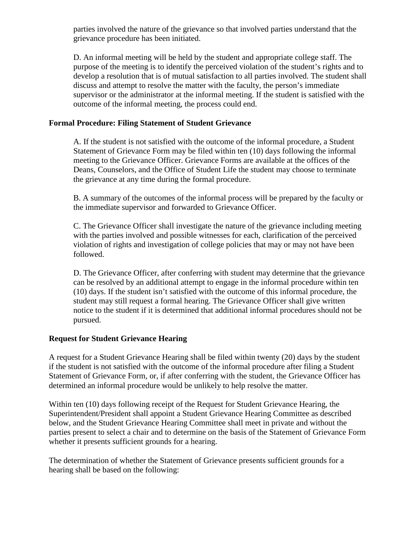parties involved the nature of the grievance so that involved parties understand that the grievance procedure has been initiated.

D. An informal meeting will be held by the student and appropriate college staff. The purpose of the meeting is to identify the perceived violation of the student's rights and to develop a resolution that is of mutual satisfaction to all parties involved. The student shall discuss and attempt to resolve the matter with the faculty, the person's immediate supervisor or the administrator at the informal meeting. If the student is satisfied with the outcome of the informal meeting, the process could end.

## **Formal Procedure: Filing Statement of Student Grievance**

A. If the student is not satisfied with the outcome of the informal procedure, a Student Statement of Grievance Form may be filed within ten (10) days following the informal meeting to the Grievance Officer. Grievance Forms are available at the offices of the Deans, Counselors, and the Office of Student Life the student may choose to terminate the grievance at any time during the formal procedure.

B. A summary of the outcomes of the informal process will be prepared by the faculty or the immediate supervisor and forwarded to Grievance Officer.

C. The Grievance Officer shall investigate the nature of the grievance including meeting with the parties involved and possible witnesses for each, clarification of the perceived violation of rights and investigation of college policies that may or may not have been followed.

D. The Grievance Officer, after conferring with student may determine that the grievance can be resolved by an additional attempt to engage in the informal procedure within ten (10) days. If the student isn't satisfied with the outcome of this informal procedure, the student may still request a formal hearing. The Grievance Officer shall give written notice to the student if it is determined that additional informal procedures should not be pursued.

#### **Request for Student Grievance Hearing**

A request for a Student Grievance Hearing shall be filed within twenty (20) days by the student if the student is not satisfied with the outcome of the informal procedure after filing a Student Statement of Grievance Form, or, if after conferring with the student, the Grievance Officer has determined an informal procedure would be unlikely to help resolve the matter.

Within ten (10) days following receipt of the Request for Student Grievance Hearing, the Superintendent/President shall appoint a Student Grievance Hearing Committee as described below, and the Student Grievance Hearing Committee shall meet in private and without the parties present to select a chair and to determine on the basis of the Statement of Grievance Form whether it presents sufficient grounds for a hearing.

The determination of whether the Statement of Grievance presents sufficient grounds for a hearing shall be based on the following: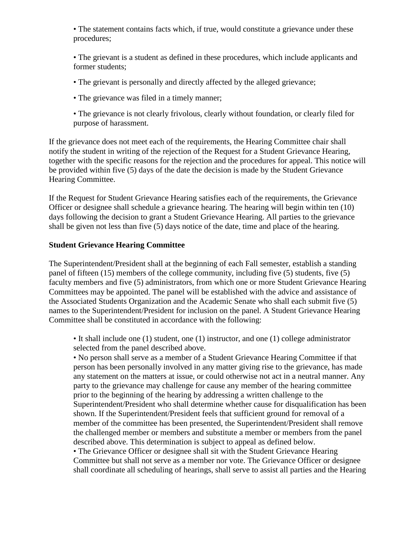• The statement contains facts which, if true, would constitute a grievance under these procedures;

• The grievant is a student as defined in these procedures, which include applicants and former students;

- The grievant is personally and directly affected by the alleged grievance;
- The grievance was filed in a timely manner;
- The grievance is not clearly frivolous, clearly without foundation, or clearly filed for purpose of harassment.

If the grievance does not meet each of the requirements, the Hearing Committee chair shall notify the student in writing of the rejection of the Request for a Student Grievance Hearing, together with the specific reasons for the rejection and the procedures for appeal. This notice will be provided within five (5) days of the date the decision is made by the Student Grievance Hearing Committee.

If the Request for Student Grievance Hearing satisfies each of the requirements, the Grievance Officer or designee shall schedule a grievance hearing. The hearing will begin within ten (10) days following the decision to grant a Student Grievance Hearing. All parties to the grievance shall be given not less than five (5) days notice of the date, time and place of the hearing.

## **Student Grievance Hearing Committee**

The Superintendent/President shall at the beginning of each Fall semester, establish a standing panel of fifteen (15) members of the college community, including five (5) students, five (5) faculty members and five (5) administrators, from which one or more Student Grievance Hearing Committees may be appointed. The panel will be established with the advice and assistance of the Associated Students Organization and the Academic Senate who shall each submit five (5) names to the Superintendent/President for inclusion on the panel. A Student Grievance Hearing Committee shall be constituted in accordance with the following:

• It shall include one (1) student, one (1) instructor, and one (1) college administrator selected from the panel described above.

• No person shall serve as a member of a Student Grievance Hearing Committee if that person has been personally involved in any matter giving rise to the grievance, has made any statement on the matters at issue, or could otherwise not act in a neutral manner. Any party to the grievance may challenge for cause any member of the hearing committee prior to the beginning of the hearing by addressing a written challenge to the Superintendent/President who shall determine whether cause for disqualification has been shown. If the Superintendent/President feels that sufficient ground for removal of a member of the committee has been presented, the Superintendent/President shall remove the challenged member or members and substitute a member or members from the panel described above. This determination is subject to appeal as defined below.

• The Grievance Officer or designee shall sit with the Student Grievance Hearing Committee but shall not serve as a member nor vote. The Grievance Officer or designee shall coordinate all scheduling of hearings, shall serve to assist all parties and the Hearing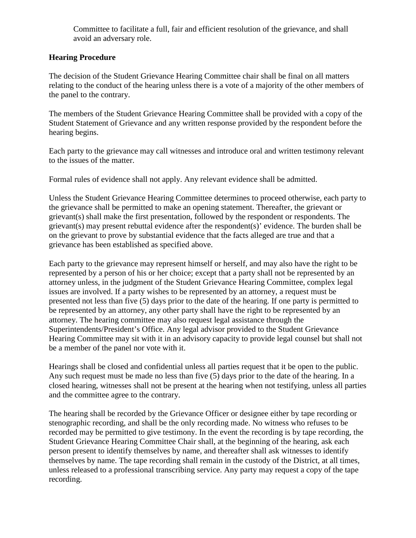Committee to facilitate a full, fair and efficient resolution of the grievance, and shall avoid an adversary role.

## **Hearing Procedure**

The decision of the Student Grievance Hearing Committee chair shall be final on all matters relating to the conduct of the hearing unless there is a vote of a majority of the other members of the panel to the contrary.

The members of the Student Grievance Hearing Committee shall be provided with a copy of the Student Statement of Grievance and any written response provided by the respondent before the hearing begins.

Each party to the grievance may call witnesses and introduce oral and written testimony relevant to the issues of the matter.

Formal rules of evidence shall not apply. Any relevant evidence shall be admitted.

Unless the Student Grievance Hearing Committee determines to proceed otherwise, each party to the grievance shall be permitted to make an opening statement. Thereafter, the grievant or grievant(s) shall make the first presentation, followed by the respondent or respondents. The grievant(s) may present rebuttal evidence after the respondent(s)' evidence. The burden shall be on the grievant to prove by substantial evidence that the facts alleged are true and that a grievance has been established as specified above.

Each party to the grievance may represent himself or herself, and may also have the right to be represented by a person of his or her choice; except that a party shall not be represented by an attorney unless, in the judgment of the Student Grievance Hearing Committee, complex legal issues are involved. If a party wishes to be represented by an attorney, a request must be presented not less than five (5) days prior to the date of the hearing. If one party is permitted to be represented by an attorney, any other party shall have the right to be represented by an attorney. The hearing committee may also request legal assistance through the Superintendents/President's Office. Any legal advisor provided to the Student Grievance Hearing Committee may sit with it in an advisory capacity to provide legal counsel but shall not be a member of the panel nor vote with it.

Hearings shall be closed and confidential unless all parties request that it be open to the public. Any such request must be made no less than five (5) days prior to the date of the hearing. In a closed hearing, witnesses shall not be present at the hearing when not testifying, unless all parties and the committee agree to the contrary.

The hearing shall be recorded by the Grievance Officer or designee either by tape recording or stenographic recording, and shall be the only recording made. No witness who refuses to be recorded may be permitted to give testimony. In the event the recording is by tape recording, the Student Grievance Hearing Committee Chair shall, at the beginning of the hearing, ask each person present to identify themselves by name, and thereafter shall ask witnesses to identify themselves by name. The tape recording shall remain in the custody of the District, at all times, unless released to a professional transcribing service. Any party may request a copy of the tape recording.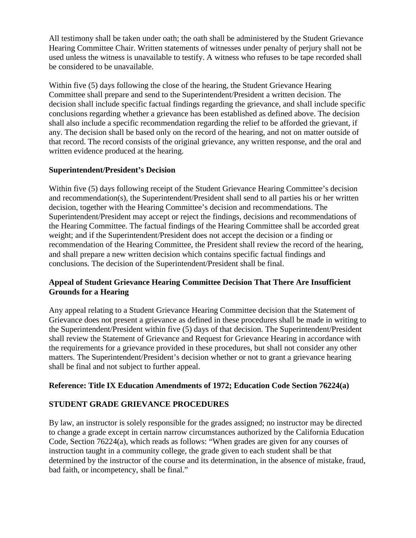All testimony shall be taken under oath; the oath shall be administered by the Student Grievance Hearing Committee Chair. Written statements of witnesses under penalty of perjury shall not be used unless the witness is unavailable to testify. A witness who refuses to be tape recorded shall be considered to be unavailable.

Within five (5) days following the close of the hearing, the Student Grievance Hearing Committee shall prepare and send to the Superintendent/President a written decision. The decision shall include specific factual findings regarding the grievance, and shall include specific conclusions regarding whether a grievance has been established as defined above. The decision shall also include a specific recommendation regarding the relief to be afforded the grievant, if any. The decision shall be based only on the record of the hearing, and not on matter outside of that record. The record consists of the original grievance, any written response, and the oral and written evidence produced at the hearing.

# **Superintendent/President's Decision**

Within five (5) days following receipt of the Student Grievance Hearing Committee's decision and recommendation(s), the Superintendent/President shall send to all parties his or her written decision, together with the Hearing Committee's decision and recommendations. The Superintendent/President may accept or reject the findings, decisions and recommendations of the Hearing Committee. The factual findings of the Hearing Committee shall be accorded great weight; and if the Superintendent/President does not accept the decision or a finding or recommendation of the Hearing Committee, the President shall review the record of the hearing, and shall prepare a new written decision which contains specific factual findings and conclusions. The decision of the Superintendent/President shall be final.

# **Appeal of Student Grievance Hearing Committee Decision That There Are Insufficient Grounds for a Hearing**

Any appeal relating to a Student Grievance Hearing Committee decision that the Statement of Grievance does not present a grievance as defined in these procedures shall be made in writing to the Superintendent/President within five (5) days of that decision. The Superintendent/President shall review the Statement of Grievance and Request for Grievance Hearing in accordance with the requirements for a grievance provided in these procedures, but shall not consider any other matters. The Superintendent/President's decision whether or not to grant a grievance hearing shall be final and not subject to further appeal.

#### **Reference: Title IX Education Amendments of 1972; Education Code Section 76224(a)**

# **STUDENT GRADE GRIEVANCE PROCEDURES**

By law, an instructor is solely responsible for the grades assigned; no instructor may be directed to change a grade except in certain narrow circumstances authorized by the California Education Code, Section 76224(a), which reads as follows: "When grades are given for any courses of instruction taught in a community college, the grade given to each student shall be that determined by the instructor of the course and its determination, in the absence of mistake, fraud, bad faith, or incompetency, shall be final."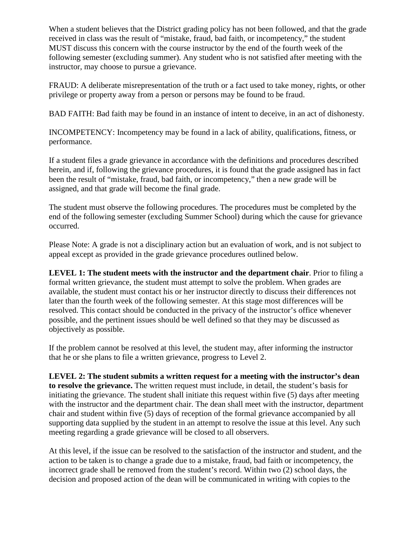When a student believes that the District grading policy has not been followed, and that the grade received in class was the result of "mistake, fraud, bad faith, or incompetency," the student MUST discuss this concern with the course instructor by the end of the fourth week of the following semester (excluding summer). Any student who is not satisfied after meeting with the instructor, may choose to pursue a grievance.

FRAUD: A deliberate misrepresentation of the truth or a fact used to take money, rights, or other privilege or property away from a person or persons may be found to be fraud.

BAD FAITH: Bad faith may be found in an instance of intent to deceive, in an act of dishonesty.

INCOMPETENCY: Incompetency may be found in a lack of ability, qualifications, fitness, or performance.

If a student files a grade grievance in accordance with the definitions and procedures described herein, and if, following the grievance procedures, it is found that the grade assigned has in fact been the result of "mistake, fraud, bad faith, or incompetency," then a new grade will be assigned, and that grade will become the final grade.

The student must observe the following procedures. The procedures must be completed by the end of the following semester (excluding Summer School) during which the cause for grievance occurred.

Please Note: A grade is not a disciplinary action but an evaluation of work, and is not subject to appeal except as provided in the grade grievance procedures outlined below.

**LEVEL 1: The student meets with the instructor and the department chair**. Prior to filing a formal written grievance, the student must attempt to solve the problem. When grades are available, the student must contact his or her instructor directly to discuss their differences not later than the fourth week of the following semester. At this stage most differences will be resolved. This contact should be conducted in the privacy of the instructor's office whenever possible, and the pertinent issues should be well defined so that they may be discussed as objectively as possible.

If the problem cannot be resolved at this level, the student may, after informing the instructor that he or she plans to file a written grievance, progress to Level 2.

**LEVEL 2: The student submits a written request for a meeting with the instructor's dean to resolve the grievance.** The written request must include, in detail, the student's basis for initiating the grievance. The student shall initiate this request within five (5) days after meeting with the instructor and the department chair. The dean shall meet with the instructor, department chair and student within five (5) days of reception of the formal grievance accompanied by all supporting data supplied by the student in an attempt to resolve the issue at this level. Any such meeting regarding a grade grievance will be closed to all observers.

At this level, if the issue can be resolved to the satisfaction of the instructor and student, and the action to be taken is to change a grade due to a mistake, fraud, bad faith or incompetency, the incorrect grade shall be removed from the student's record. Within two (2) school days, the decision and proposed action of the dean will be communicated in writing with copies to the